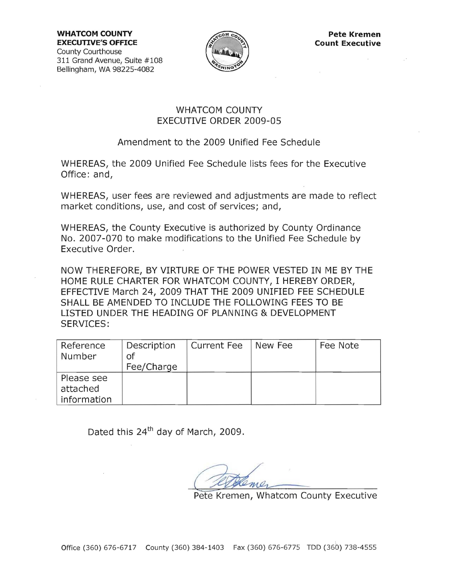**WHATCOM COUNTY EXECUTIVE'S OFFICE**  County Courthouse 311 Grand Avenue, Suite #108 Bellingham, WA 98225-4082



## WHATCOM COUNTY EXECUTIVE ORDER 2009-05

## Amendment to the 2009 Unified Fee Schedule

WHEREAS, the 2009 Unified Fee Schedule lists fees for the Executive Office: and,

WHEREAS, user fees are reviewed and adjustments are made to reflect market conditions, use, and cost of services; and,

WHEREAS, the County Executive is authorized by County Ordinance No. 2007-070 to make modifications to the Unified Fee Schedule by Executive Order.

NOW THEREFORE, BY VIRTURE OF THE POWER VESTED IN ME BY THE HOME RULE CHARTER FOR WHATCOM COUNTY, I HEREBY ORDER, EFFECTIVE March 24, 2009 THAT THE 2009 UNIFIED FEE SCHEDULE SHALL BE AMENDED TO INCLUDE THE FOLLOWING FEES TO BE LISTED UNDER THE HEADING OF PLANNING & DEVELOPMENT SERVICES:

| Reference<br>Number | Description<br>Οf<br>Fee/Charge | <b>Current Fee</b> | New Fee | Fee Note |
|---------------------|---------------------------------|--------------------|---------|----------|
| Please see          |                                 |                    |         |          |
| attached            |                                 |                    |         |          |
| information         |                                 |                    |         |          |

Dated this  $24<sup>th</sup>$  day of March, 2009.

Pete Kremen, Whatcom County Executive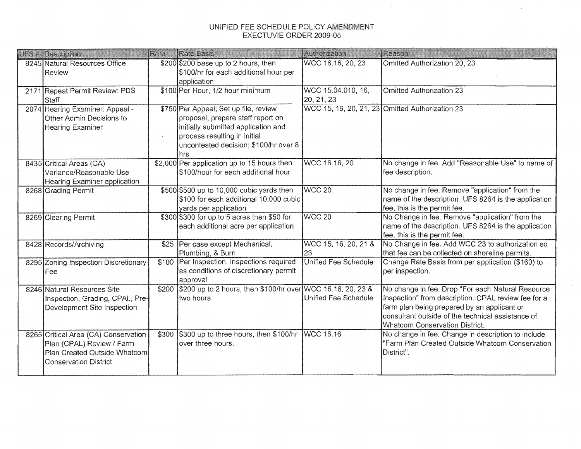## UNIFIED FEE SCHEDULE POLICY AMENDMENT EXECTUVIE ORDER 2009-05

 $\mathcal{L}^{\mathcal{L}}$ 

 $\sim 10^7$ 

 $\sim$ 

| UFS # Description                                              | Rate  | <b>Rate Basis</b>                                                       | Authorization              | Reason                                                                                                   |
|----------------------------------------------------------------|-------|-------------------------------------------------------------------------|----------------------------|----------------------------------------------------------------------------------------------------------|
| 8245 Natural Resources Office                                  |       | \$200 \$200 base up to 2 hours, then                                    | WCC 16.16, 20, 23          | Omitted Authorization 20, 23                                                                             |
| Review                                                         |       | \$100/hr for each additional hour per                                   |                            |                                                                                                          |
|                                                                |       | application                                                             |                            |                                                                                                          |
| 2171 Repeat Permit Review: PDS                                 |       | \$100 Per Hour, 1/2 hour minimum                                        | WCC 15.04.010, 16,         | <b>Omitted Authorization 23</b>                                                                          |
| Staff                                                          |       |                                                                         | 20, 21, 23                 |                                                                                                          |
| 2074 Hearing Examiner: Appeal -                                |       | \$750 Per Appeal; Set up file, review                                   |                            | WCC 15, 16, 20, 21, 23 Omitted Authorization 23                                                          |
| Other Admin Decisions to                                       |       | proposal, prepare staff report on                                       |                            |                                                                                                          |
| <b>Hearing Examiner</b>                                        |       | initially submitted application and                                     |                            |                                                                                                          |
|                                                                |       | process resulting in initial                                            |                            |                                                                                                          |
|                                                                |       | uncontested decision; \$100/hr over 8                                   |                            |                                                                                                          |
|                                                                |       | hrs                                                                     |                            |                                                                                                          |
| 8435 Critical Areas (CA)                                       |       | \$2,000 Per application up to 15 hours then                             | WCC 16.16, 20              | No change in fee. Add "Reasonable Use" to name of                                                        |
| Variance/Reasonable Use                                        |       | \$100/hour for each additional hour                                     |                            | fee description.                                                                                         |
| Hearing Examiner application                                   |       |                                                                         |                            |                                                                                                          |
| 8268 Grading Permit                                            |       | \$500 \$500 up to 10,000 cubic yards then                               | WCC <sub>20</sub>          | No change in fee. Remove "application" from the                                                          |
|                                                                |       | \$100 for each additional 10,000 cubic                                  |                            | name of the description. UFS 8264 is the application                                                     |
|                                                                |       | yards per application                                                   |                            | fee, this is the permit fee.                                                                             |
| 8269 Clearing Permit                                           |       | \$300 \$300 for up to 5 acres then \$50 for                             | WCC <sub>20</sub>          | No Change in fee. Remove "application" from the                                                          |
|                                                                |       | each additional acre per application                                    |                            | name of the description. UFS 8264 is the application                                                     |
|                                                                |       |                                                                         |                            | fee, this is the permit fee.                                                                             |
| 8428 Records/Archiving                                         | \$25  | Per case except Mechanical,                                             | WCC 15, 16, 20, 21 &       | No Change in fee. Add WCC 23 to authorization so                                                         |
|                                                                |       | Plumbing, & Burn                                                        | 23<br>Unified Fee Schedule | that fee can be collected on shoreline permits.                                                          |
| 8295 Zoning Inspection Discretionary                           | \$100 | Per Inspection. Inspections required                                    |                            | Change Rate Basis from per application (\$160) to                                                        |
| Fee                                                            |       | as conditions of discretionary permit                                   |                            | per inspection.                                                                                          |
|                                                                |       | approval<br>\$200 up to 2 hours, then \$100/hr over WCC 16.16, 20, 23 & |                            |                                                                                                          |
| 8246 Natural Resources Site                                    | \$200 | two hours.                                                              | Unified Fee Schedule       | No change in fee. Drop "For each Natural Resource<br>Inspection" from description. CPAL review fee for a |
| Inspection, Grading, CPAL, Pre-<br>Development Site Inspection |       |                                                                         |                            | farm plan being prepared by an applicant or                                                              |
|                                                                |       |                                                                         |                            | consultant outside of the technical assistance of                                                        |
|                                                                |       |                                                                         |                            | <b>Whatcom Conservation District.</b>                                                                    |
| 8265 Critical Area (CA) Conservation                           | \$300 | \$300 up to three hours, then \$100/hr                                  | <b>WCC 16.16</b>           | No change in fee. Change in description to include                                                       |
| Plan (CPAL) Review / Farm                                      |       | over three hours.                                                       |                            | "Farm Plan Created Outside Whatcom Conservation                                                          |
| Plan Created Outside Whatcom                                   |       |                                                                         |                            | District".                                                                                               |
| <b>Conservation District</b>                                   |       |                                                                         |                            |                                                                                                          |
|                                                                |       |                                                                         |                            |                                                                                                          |
|                                                                |       |                                                                         |                            |                                                                                                          |